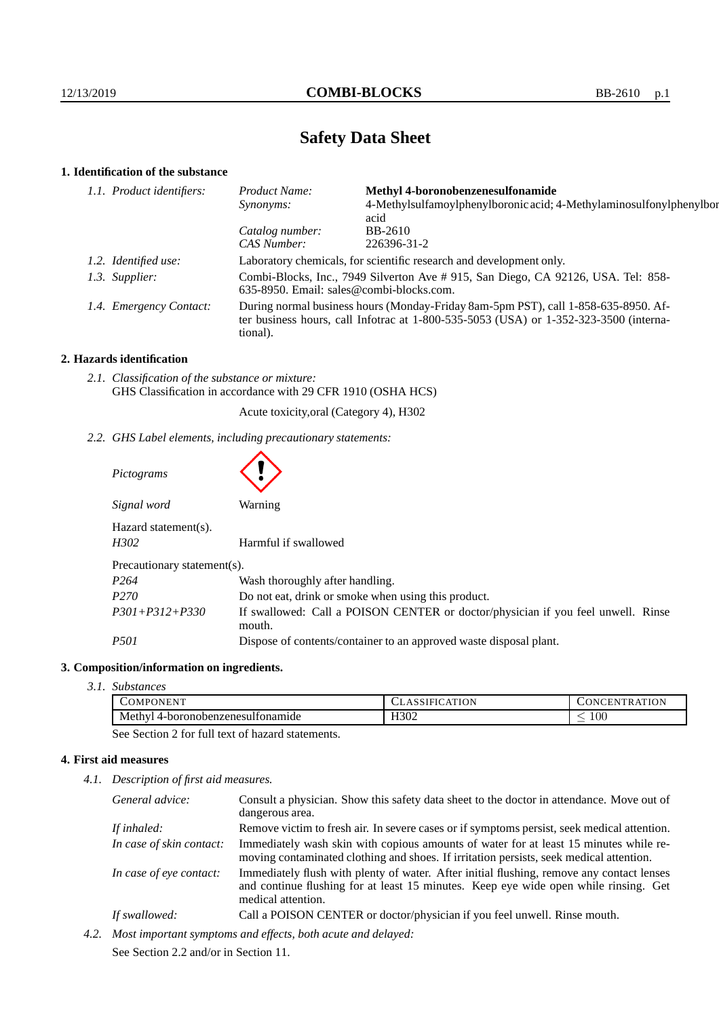# **Safety Data Sheet**

# **1. Identification of the substance**

| 1.1. Product identifiers: | Product Name:                                                                                                                                                                               | <b>Methyl 4-boronobenzenesulfonamide</b>                                    |
|---------------------------|---------------------------------------------------------------------------------------------------------------------------------------------------------------------------------------------|-----------------------------------------------------------------------------|
|                           | Synonyms:                                                                                                                                                                                   | 4-Methylsulfamoylphenylboronic acid; 4-Methylaminosulfonylphenylbor<br>acid |
|                           | Catalog number:                                                                                                                                                                             | BB-2610                                                                     |
|                           | CAS Number:                                                                                                                                                                                 | 226396-31-2                                                                 |
| 1.2. Identified use:      | Laboratory chemicals, for scientific research and development only.                                                                                                                         |                                                                             |
| 1.3. Supplier:            | Combi-Blocks, Inc., 7949 Silverton Ave # 915, San Diego, CA 92126, USA. Tel: 858-<br>635-8950. Email: sales@combi-blocks.com.                                                               |                                                                             |
| 1.4. Emergency Contact:   | During normal business hours (Monday-Friday 8am-5pm PST), call 1-858-635-8950. Af-<br>ter business hours, call Infotrac at $1-800-535-5053$ (USA) or $1-352-323-3500$ (interna-<br>tional). |                                                                             |

## **2. Hazards identification**

*2.1. Classification of the substance or mixture:* GHS Classification in accordance with 29 CFR 1910 (OSHA HCS)

Acute toxicity,oral (Category 4), H302

*2.2. GHS Label elements, including precautionary statements:*

| Pictograms                      |                                                                                            |  |
|---------------------------------|--------------------------------------------------------------------------------------------|--|
| Signal word                     | Warning                                                                                    |  |
| $Hazard statement(s)$ .<br>H302 | Harmful if swallowed                                                                       |  |
| Precautionary statement(s).     |                                                                                            |  |
| P <sub>264</sub>                | Wash thoroughly after handling.                                                            |  |
| P <sub>270</sub>                | Do not eat, drink or smoke when using this product.                                        |  |
| $P301 + P312 + P330$            | If swallowed: Call a POISON CENTER or doctor/physician if you feel unwell. Rinse<br>mouth. |  |
| <i>P501</i>                     | Dispose of contents/container to an approved waste disposal plant.                         |  |

# **3. Composition/information on ingredients.**

*3.1. Substances*

| , , ,<br><b>COMPONENT</b>                     | <b>\TION</b><br>1.3.3 | ATION<br><b>IN</b><br>N             |
|-----------------------------------------------|-----------------------|-------------------------------------|
| . .<br>Methy'<br>. 4-boronobenzenesulfonamide | .<br>H302             | $100\,$<br>$\overline{\phantom{a}}$ |

See Section 2 for full text of hazard statements.

# **4. First aid measures**

*4.1. Description of first aid measures.*

| General advice:          | Consult a physician. Show this safety data sheet to the doctor in attendance. Move out of<br>dangerous area.                                                                                            |
|--------------------------|---------------------------------------------------------------------------------------------------------------------------------------------------------------------------------------------------------|
| If inhaled:              | Remove victim to fresh air. In severe cases or if symptoms persist, seek medical attention.                                                                                                             |
| In case of skin contact: | Immediately wash skin with copious amounts of water for at least 15 minutes while re-<br>moving contaminated clothing and shoes. If irritation persists, seek medical attention.                        |
| In case of eye contact:  | Immediately flush with plenty of water. After initial flushing, remove any contact lenses<br>and continue flushing for at least 15 minutes. Keep eye wide open while rinsing. Get<br>medical attention. |
| If swallowed:            | Call a POISON CENTER or doctor/physician if you feel unwell. Rinse mouth.                                                                                                                               |
|                          | Most important symptoms and effects hoth acute and delayed.                                                                                                                                             |

*4.2. Most important symptoms and effects, both acute and delayed:* See Section 2.2 and/or in Section 11.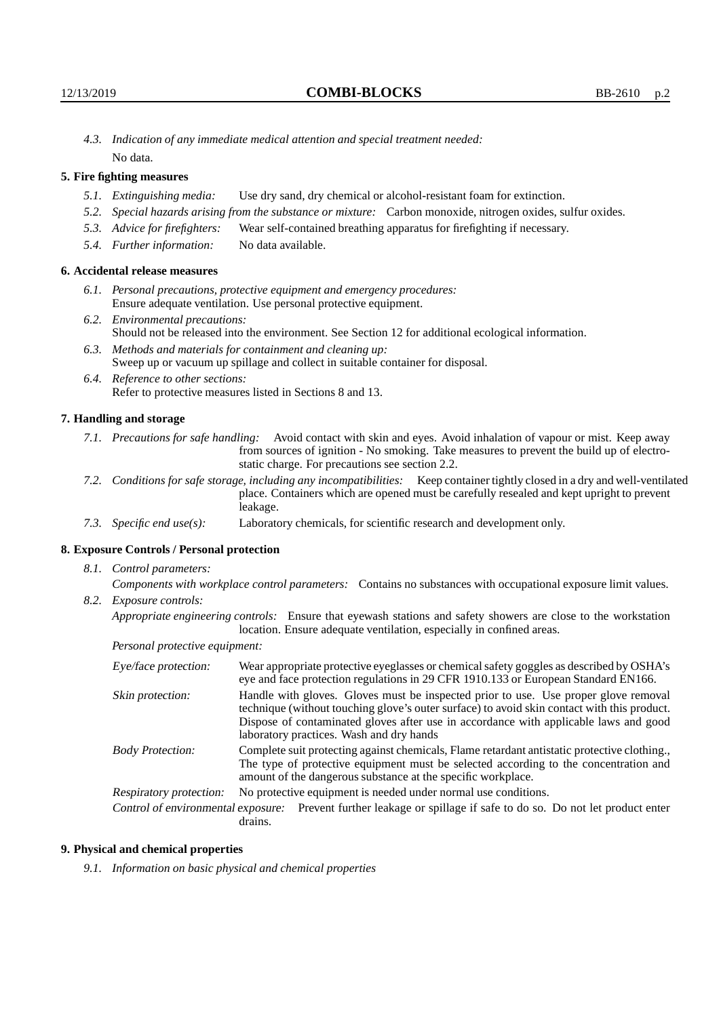*4.3. Indication of any immediate medical attention and special treatment needed:* No data.

## **5. Fire fighting measures**

- *5.1. Extinguishing media:* Use dry sand, dry chemical or alcohol-resistant foam for extinction.
- *5.2. Special hazards arising from the substance or mixture:* Carbon monoxide, nitrogen oxides, sulfur oxides.
- *5.3. Advice for firefighters:* Wear self-contained breathing apparatus for firefighting if necessary.
- *5.4. Further information:* No data available.

## **6. Accidental release measures**

- *6.1. Personal precautions, protective equipment and emergency procedures:* Ensure adequate ventilation. Use personal protective equipment.
- *6.2. Environmental precautions:* Should not be released into the environment. See Section 12 for additional ecological information.
- *6.3. Methods and materials for containment and cleaning up:* Sweep up or vacuum up spillage and collect in suitable container for disposal.
- *6.4. Reference to other sections:* Refer to protective measures listed in Sections 8 and 13.

#### **7. Handling and storage**

- *7.1. Precautions for safe handling:* Avoid contact with skin and eyes. Avoid inhalation of vapour or mist. Keep away from sources of ignition - No smoking. Take measures to prevent the build up of electrostatic charge. For precautions see section 2.2.
- *7.2. Conditions for safe storage, including any incompatibilities:* Keep container tightly closed in a dry and well-ventilated place. Containers which are opened must be carefully resealed and kept upright to prevent leakage.
- *7.3. Specific end use(s):* Laboratory chemicals, for scientific research and development only.

#### **8. Exposure Controls / Personal protection**

*8.1. Control parameters:*

*Components with workplace control parameters:* Contains no substances with occupational exposure limit values. *8.2. Exposure controls:*

*Appropriate engineering controls:* Ensure that eyewash stations and safety showers are close to the workstation location. Ensure adequate ventilation, especially in confined areas.

*Personal protective equipment:*

| Eye/face protection:    | Wear appropriate protective eyeglasses or chemical safety goggles as described by OSHA's<br>eye and face protection regulations in 29 CFR 1910.133 or European Standard EN166.                                                                                                                                         |  |  |
|-------------------------|------------------------------------------------------------------------------------------------------------------------------------------------------------------------------------------------------------------------------------------------------------------------------------------------------------------------|--|--|
| Skin protection:        | Handle with gloves. Gloves must be inspected prior to use. Use proper glove removal<br>technique (without touching glove's outer surface) to avoid skin contact with this product.<br>Dispose of contaminated gloves after use in accordance with applicable laws and good<br>laboratory practices. Wash and dry hands |  |  |
| <b>Body Protection:</b> | Complete suit protecting against chemicals, Flame retardant antistatic protective clothing.,<br>The type of protective equipment must be selected according to the concentration and<br>amount of the dangerous substance at the specific workplace.                                                                   |  |  |
| Respiratory protection: | No protective equipment is needed under normal use conditions.                                                                                                                                                                                                                                                         |  |  |
|                         | Control of environmental exposure: Prevent further leakage or spillage if safe to do so. Do not let product enter<br>drains.                                                                                                                                                                                           |  |  |

#### **9. Physical and chemical properties**

*9.1. Information on basic physical and chemical properties*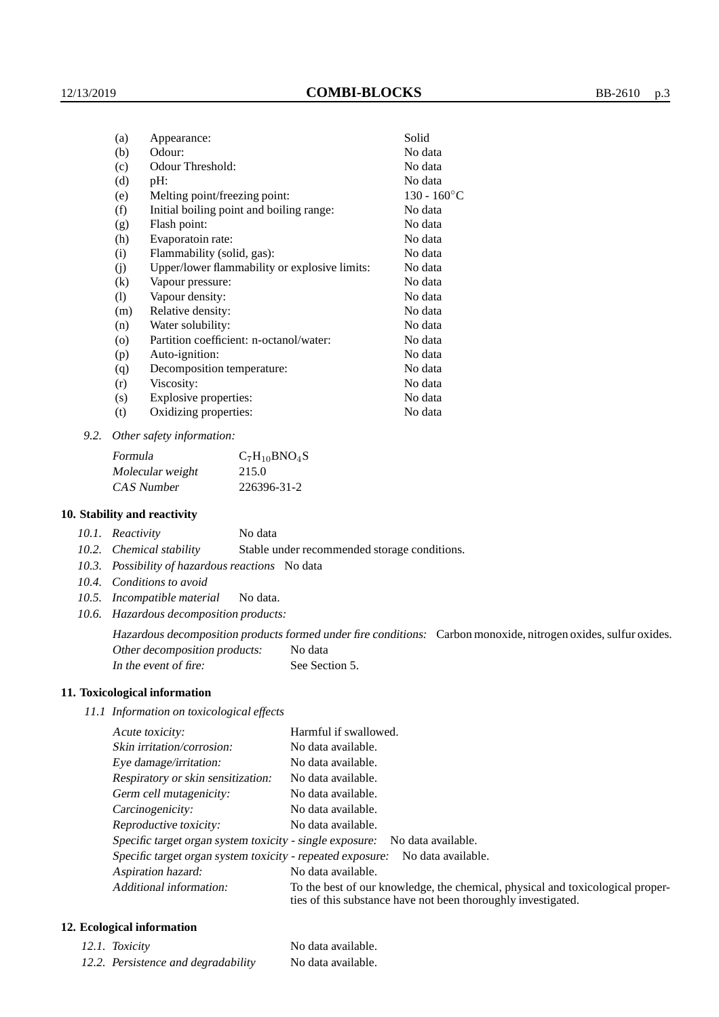| (a)                        | Appearance:                                   | Solid          |
|----------------------------|-----------------------------------------------|----------------|
| (b)                        | Odour:                                        | No data        |
| (c)                        | Odour Threshold:                              | No data        |
| (d)                        | pH:                                           | No data        |
| (e)                        | Melting point/freezing point:                 | $130 - 160$ °C |
| (f)                        | Initial boiling point and boiling range:      | No data        |
| (g)                        | Flash point:                                  | No data        |
| (h)                        | Evaporatoin rate:                             | No data        |
| (i)                        | Flammability (solid, gas):                    | No data        |
| (j)                        | Upper/lower flammability or explosive limits: | No data        |
| $\left( k\right)$          | Vapour pressure:                              | No data        |
| $\left( \mathrm{l}\right)$ | Vapour density:                               | No data        |
| (m)                        | Relative density:                             | No data        |
| (n)                        | Water solubility:                             | No data        |
| (0)                        | Partition coefficient: n-octanol/water:       | No data        |
| (p)                        | Auto-ignition:                                | No data        |
| (q)                        | Decomposition temperature:                    | No data        |
| (r)                        | Viscosity:                                    | No data        |
| (s)                        | Explosive properties:                         | No data        |
| (t)                        | Oxidizing properties:                         | No data        |
|                            |                                               |                |

*9.2. Other safety information:*

| Formula          | $C_7H_{10}BNO_4S$ |
|------------------|-------------------|
| Molecular weight | 215.0             |
| CAS Number       | 226396-31-2       |

#### **10. Stability and reactivity**

*10.2. Chemical stability* Stable under recommended storage conditions.

- *10.3. Possibility of hazardous reactions* No data
- *10.4. Conditions to avoid*
- *10.5. Incompatible material* No data.
- *10.6. Hazardous decomposition products:*

Hazardous decomposition products formed under fire conditions: Carbon monoxide, nitrogen oxides, sulfur oxides. Other decomposition products: No data In the event of fire: See Section 5.

## **11. Toxicological information**

*11.1 Information on toxicological effects*

| Acute toxicity:                                                                  | Harmful if swallowed.                                                                                                                           |  |
|----------------------------------------------------------------------------------|-------------------------------------------------------------------------------------------------------------------------------------------------|--|
| Skin irritation/corrosion:                                                       | No data available.                                                                                                                              |  |
| Eye damage/irritation:                                                           | No data available.                                                                                                                              |  |
| Respiratory or skin sensitization:                                               | No data available.                                                                                                                              |  |
| Germ cell mutagenicity:                                                          | No data available.                                                                                                                              |  |
| Carcinogenicity:                                                                 | No data available.                                                                                                                              |  |
| Reproductive toxicity:                                                           | No data available.                                                                                                                              |  |
|                                                                                  | Specific target organ system toxicity - single exposure: No data available.                                                                     |  |
| Specific target organ system toxicity - repeated exposure:<br>No data available. |                                                                                                                                                 |  |
| Aspiration hazard:                                                               | No data available.                                                                                                                              |  |
| Additional information:                                                          | To the best of our knowledge, the chemical, physical and toxicological proper-<br>ties of this substance have not been thoroughly investigated. |  |

## **12. Ecological information**

| 12.1. Toxicity                      | No data available. |
|-------------------------------------|--------------------|
| 12.2. Persistence and degradability | No data available. |